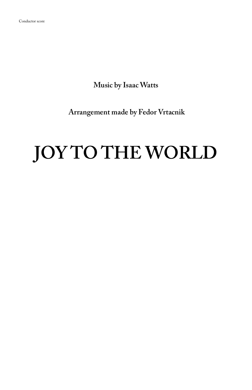## **JOY TO THE WORLD**

**Music by Isaac Watts**

 **Arrangement made by Fedor Vrtacnik**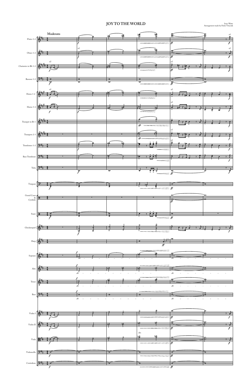

Isaac Watts

Arrangement made by Fedor Vrtacnik **JOY TO THE WORLD**